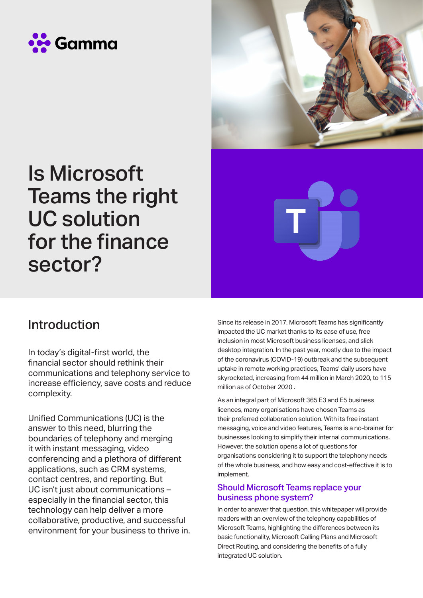



# Is Microsoft Teams the right UC solution for the finance sector?

#### Introduction

In today's digital-first world, the financial sector should rethink their communications and telephony service to increase efficiency, save costs and reduce complexity.

Unified Communications (UC) is the answer to this need, blurring the boundaries of telephony and merging it with instant messaging, video conferencing and a plethora of different applications, such as CRM systems, contact centres, and reporting. But UC isn't just about communications – especially in the financial sector, this technology can help deliver a more collaborative, productive, and successful environment for your business to thrive in. Since its release in 2017, Microsoft Teams has significantly impacted the UC market thanks to its ease of use, free inclusion in most Microsoft business licenses, and slick desktop integration. In the past year, mostly due to the impact of the coronavirus (COVID-19) outbreak and the subsequent uptake in remote working practices, Teams' daily users have skyrocketed, increasing from 44 million in March 2020, to 115 million as of October 2020 .

As an integral part of Microsoft 365 E3 and E5 business licences, many organisations have chosen Teams as their preferred collaboration solution. With its free instant messaging, voice and video features, Teams is a no-brainer for businesses looking to simplify their internal communications. However, the solution opens a lot of questions for organisations considering it to support the telephony needs of the whole business, and how easy and cost-effective it is to implement.

#### Should Microsoft Teams replace your business phone system?

In order to answer that question, this whitepaper will provide readers with an overview of the telephony capabilities of Microsoft Teams, highlighting the differences between its basic functionality, Microsoft Calling Plans and Microsoft Direct Routing, and considering the benefits of a fully integrated UC solution.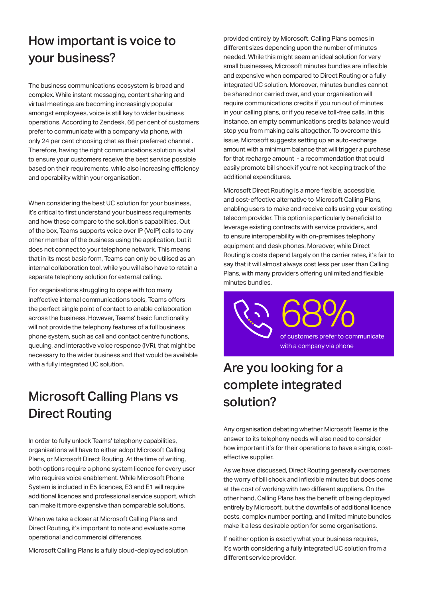#### How important is voice to your business?

The business communications ecosystem is broad and complex. While instant messaging, content sharing and virtual meetings are becoming increasingly popular amongst employees, voice is still key to wider business operations. According to Zendesk, 66 per cent of customers prefer to communicate with a company via phone, with only 24 per cent choosing chat as their preferred channel . Therefore, having the right communications solution is vital to ensure your customers receive the best service possible based on their requirements, while also increasing efficiency and operability within your organisation.

When considering the best UC solution for your business, it's critical to first understand your business requirements and how these compare to the solution's capabilities. Out of the box, Teams supports voice over IP (VoIP) calls to any other member of the business using the application, but it does not connect to your telephone network. This means that in its most basic form, Teams can only be utilised as an internal collaboration tool, while you will also have to retain a separate telephony solution for external calling.

For organisations struggling to cope with too many ineffective internal communications tools, Teams offers the perfect single point of contact to enable collaboration across the business. However, Teams' basic functionality will not provide the telephony features of a full business phone system, such as call and contact centre functions, queuing, and interactive voice response (IVR), that might be necessary to the wider business and that would be available with a fully integrated UC solution.

## Microsoft Calling Plans vs Direct Routing

In order to fully unlock Teams' telephony capabilities, organisations will have to either adopt Microsoft Calling Plans, or Microsoft Direct Routing. At the time of writing, both options require a phone system licence for every user who requires voice enablement. While Microsoft Phone System is included in E5 licences, E3 and E1 will require additional licences and professional service support, which can make it more expensive than comparable solutions.

When we take a closer at Microsoft Calling Plans and Direct Routing, it's important to note and evaluate some operational and commercial differences.

Microsoft Calling Plans is a fully cloud-deployed solution

provided entirely by Microsoft. Calling Plans comes in different sizes depending upon the number of minutes needed. While this might seem an ideal solution for very small businesses, Microsoft minutes bundles are inflexible and expensive when compared to Direct Routing or a fully integrated UC solution. Moreover, minutes bundles cannot be shared nor carried over, and your organisation will require communications credits if you run out of minutes in your calling plans, or if you receive toll-free calls. In this instance, an empty communications credits balance would stop you from making calls altogether. To overcome this issue, Microsoft suggests setting up an auto-recharge amount with a minimum balance that will trigger a purchase for that recharge amount - a recommendation that could easily promote bill shock if you're not keeping track of the additional expenditures.

Microsoft Direct Routing is a more flexible, accessible, and cost-effective alternative to Microsoft Calling Plans, enabling users to make and receive calls using your existing telecom provider. This option is particularly beneficial to leverage existing contracts with service providers, and to ensure interoperability with on-premises telephony equipment and desk phones. Moreover, while Direct Routing's costs depend largely on the carrier rates, it's fair to say that it will almost always cost less per user than Calling Plans, with many providers offering unlimited and flexible minutes bundles.

> 68% of customers prefer to communicate with a company via phone

## Are you looking for a complete integrated solution?

Any organisation debating whether Microsoft Teams is the answer to its telephony needs will also need to consider how important it's for their operations to have a single, costeffective supplier.

As we have discussed, Direct Routing generally overcomes the worry of bill shock and inflexible minutes but does come at the cost of working with two different suppliers. On the other hand, Calling Plans has the benefit of being deployed entirely by Microsoft, but the downfalls of additional licence costs, complex number porting, and limited minute bundles make it a less desirable option for some organisations.

If neither option is exactly what your business requires, it's worth considering a fully integrated UC solution from a different service provider.